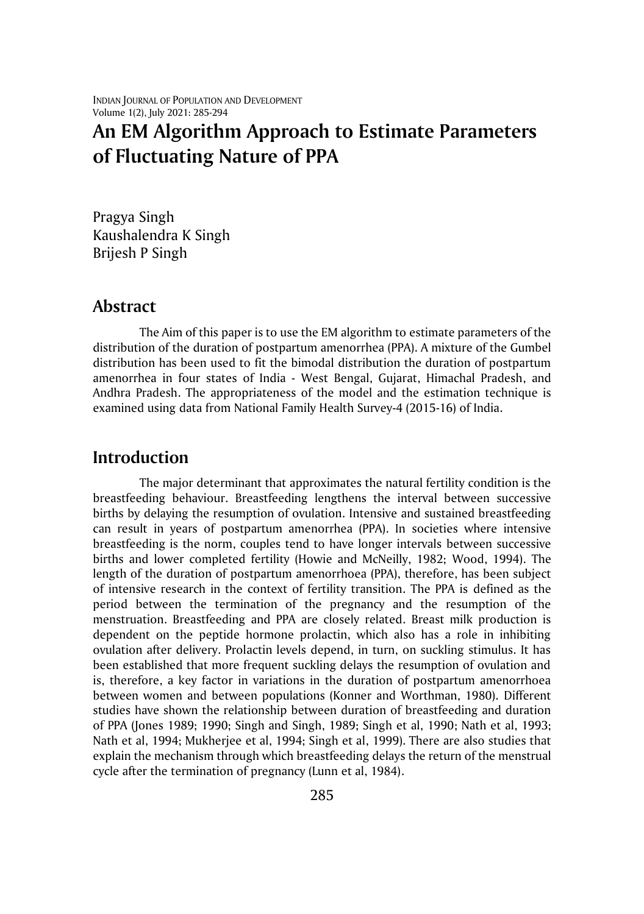# **An EM Algorithm Approach to Estimate Parameters of Fluctuating Nature of PPA**

Pragya Singh Kaushalendra K Singh Brijesh P Singh

#### **Abstract**

The Aim of this paper is to use the EM algorithm to estimate parameters of the distribution of the duration of postpartum amenorrhea (PPA). A mixture of the Gumbel distribution has been used to fit the bimodal distribution the duration of postpartum amenorrhea in four states of India - West Bengal, Gujarat, Himachal Pradesh, and Andhra Pradesh. The appropriateness of the model and the estimation technique is examined using data from National Family Health Survey-4 (2015-16) of India.

## **Introduction**

The major determinant that approximates the natural fertility condition is the breastfeeding behaviour. Breastfeeding lengthens the interval between successive births by delaying the resumption of ovulation. Intensive and sustained breastfeeding can result in years of postpartum amenorrhea (PPA). In societies where intensive breastfeeding is the norm, couples tend to have longer intervals between successive births and lower completed fertility (Howie and McNeilly, 1982; Wood, 1994). The length of the duration of postpartum amenorrhoea (PPA), therefore, has been subject of intensive research in the context of fertility transition. The PPA is defined as the period between the termination of the pregnancy and the resumption of the menstruation. Breastfeeding and PPA are closely related. Breast milk production is dependent on the peptide hormone prolactin, which also has a role in inhibiting ovulation after delivery. Prolactin levels depend, in turn, on suckling stimulus. It has been established that more frequent suckling delays the resumption of ovulation and is, therefore, a key factor in variations in the duration of postpartum amenorrhoea between women and between populations (Konner and Worthman, 1980). Different studies have shown the relationship between duration of breastfeeding and duration of PPA (Jones 1989; 1990; Singh and Singh, 1989; Singh et al, 1990; Nath et al, 1993; Nath et al, 1994; Mukherjee et al, 1994; Singh et al, 1999). There are also studies that explain the mechanism through which breastfeeding delays the return of the menstrual cycle after the termination of pregnancy (Lunn et al, 1984).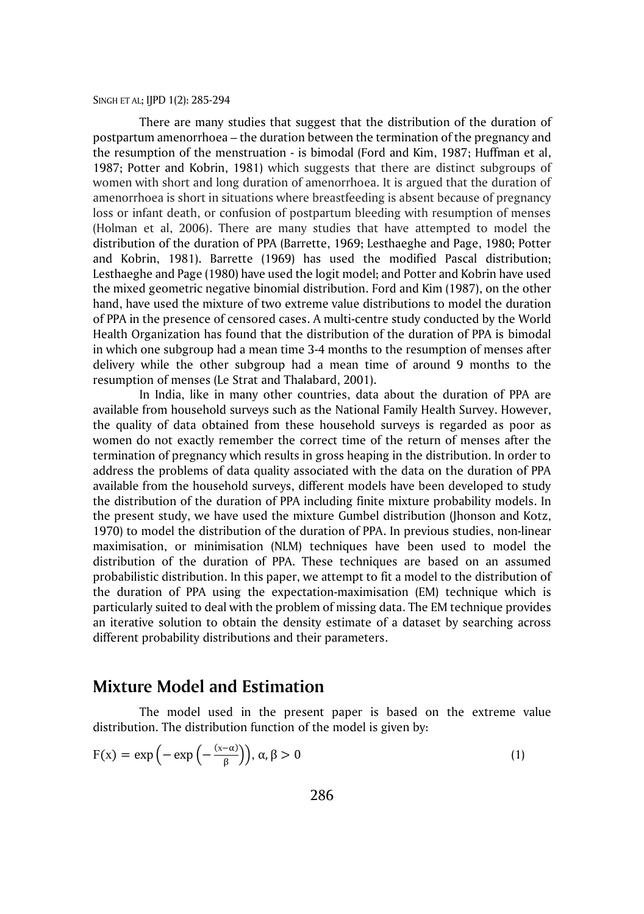There are many studies that suggest that the distribution of the duration of postpartum amenorrhoea – the duration between the termination of the pregnancy and the resumption of the menstruation - is bimodal (Ford and Kim, 1987; Huffman et al, 1987; Potter and Kobrin, 1981) which suggests that there are distinct subgroups of women with short and long duration of amenorrhoea. It is argued that the duration of amenorrhoea is short in situations where breastfeeding is absent because of pregnancy loss or infant death, or confusion of postpartum bleeding with resumption of menses (Holman et al, 2006). There are many studies that have attempted to model the distribution of the duration of PPA (Barrette, 1969; Lesthaeghe and Page, 1980; Potter and Kobrin, 1981). Barrette (1969) has used the modified Pascal distribution; Lesthaeghe and Page (1980) have used the logit model; and Potter and Kobrin have used the mixed geometric negative binomial distribution. Ford and Kim (1987), on the other hand, have used the mixture of two extreme value distributions to model the duration of PPA in the presence of censored cases. A multi-centre study conducted by the World Health Organization has found that the distribution of the duration of PPA is bimodal in which one subgroup had a mean time 3-4 months to the resumption of menses after delivery while the other subgroup had a mean time of around 9 months to the resumption of menses (Le Strat and Thalabard, 2001).

In India, like in many other countries, data about the duration of PPA are available from household surveys such as the National Family Health Survey. However, the quality of data obtained from these household surveys is regarded as poor as women do not exactly remember the correct time of the return of menses after the termination of pregnancy which results in gross heaping in the distribution. In order to address the problems of data quality associated with the data on the duration of PPA available from the household surveys, different models have been developed to study the distribution of the duration of PPA including finite mixture probability models. In the present study, we have used the mixture Gumbel distribution (Jhonson and Kotz, 1970) to model the distribution of the duration of PPA. In previous studies, non-linear maximisation, or minimisation (NLM) techniques have been used to model the distribution of the duration of PPA. These techniques are based on an assumed probabilistic distribution. In this paper, we attempt to fit a model to the distribution of the duration of PPA using the expectation-maximisation (EM) technique which is particularly suited to deal with the problem of missing data. The EM technique provides an iterative solution to obtain the density estimate of a dataset by searching across different probability distributions and their parameters.

#### **Mixture Model and Estimation**

The model used in the present paper is based on the extreme value distribution. The distribution function of the model is given by:

$$
F(x) = \exp\left(-\exp\left(-\frac{(x-\alpha)}{\beta}\right)\right), \alpha, \beta > 0 \tag{1}
$$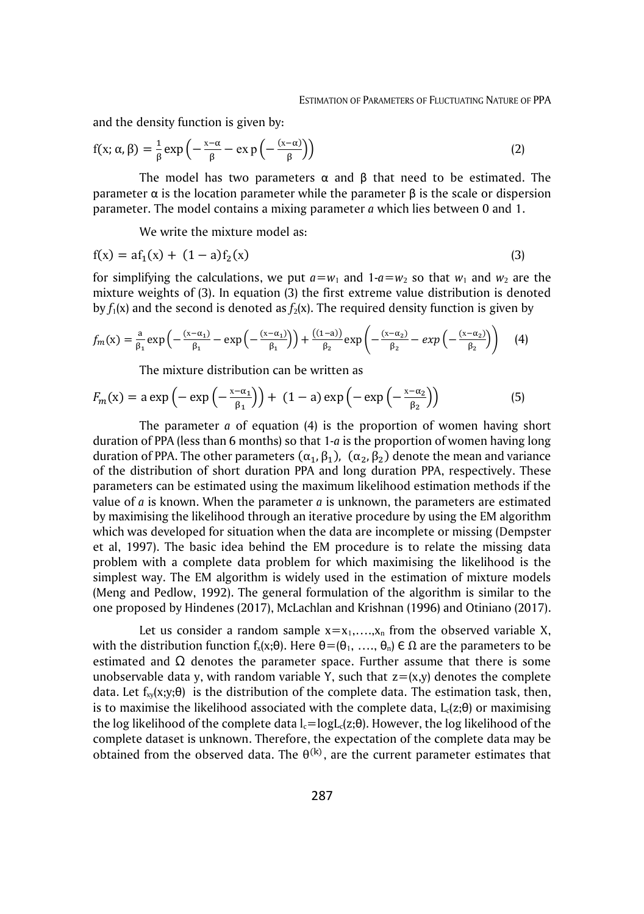and the density function is given by:

$$
f(x; \alpha, \beta) = \frac{1}{\beta} \exp\left(-\frac{x-\alpha}{\beta} - \exp\left(-\frac{(x-\alpha)}{\beta}\right)\right)
$$
 (2)

The model has two parameters  $\alpha$  and  $\beta$  that need to be estimated. The parameter α is the location parameter while the parameter β is the scale or dispersion parameter. The model contains a mixing parameter *a* which lies between 0 and 1.

We write the mixture model as:

$$
f(x) = af_1(x) + (1 - a)f_2(x)
$$
 (3)

for simplifying the calculations, we put  $a = w_1$  and  $1-a = w_2$  so that  $w_1$  and  $w_2$  are the mixture weights of (3). In equation (3) the first extreme value distribution is denoted by  $f_1(x)$  and the second is denoted as  $f_2(x)$ . The required density function is given by

$$
f_m(x) = \frac{a}{\beta_1} \exp\left(-\frac{(x-\alpha_1)}{\beta_1} - \exp\left(-\frac{(x-\alpha_1)}{\beta_1}\right)\right) + \frac{((1-a))}{\beta_2} \exp\left(-\frac{(x-\alpha_2)}{\beta_2} - \exp\left(-\frac{(x-\alpha_2)}{\beta_2}\right)\right) \tag{4}
$$

The mixture distribution can be written as

$$
F_m(x) = a \exp\left(-\exp\left(-\frac{x-\alpha_1}{\beta_1}\right)\right) + (1-a) \exp\left(-\exp\left(-\frac{x-\alpha_2}{\beta_2}\right)\right) \tag{5}
$$

The parameter *a* of equation (4) is the proportion of women having short duration of PPA (less than 6 months) so that 1-*a* is the proportion of women having long duration of PPA. The other parameters  $(\alpha_1, \beta_1)$ ,  $(\alpha_2, \beta_2)$  denote the mean and variance of the distribution of short duration PPA and long duration PPA, respectively. These parameters can be estimated using the maximum likelihood estimation methods if the value of *a* is known. When the parameter *a* is unknown, the parameters are estimated by maximising the likelihood through an iterative procedure by using the EM algorithm which was developed for situation when the data are incomplete or missing (Dempster et al, 1997). The basic idea behind the EM procedure is to relate the missing data problem with a complete data problem for which maximising the likelihood is the simplest way. The EM algorithm is widely used in the estimation of mixture models (Meng and Pedlow, 1992). The general formulation of the algorithm is similar to the one proposed by Hindenes (2017), McLachlan and Krishnan (1996) and Otiniano (2017).

Let us consider a random sample  $x=x_1,...,x_n$  from the observed variable X, with the distribution function  $f_x(x;\theta)$ . Here  $\theta = (\theta_1, ..., \theta_n) \in \Omega$  are the parameters to be estimated and  $\Omega$  denotes the parameter space. Further assume that there is some unobservable data y, with random variable Y, such that  $z = (x,y)$  denotes the complete data. Let  $f_{xy}(x; y; \theta)$  is the distribution of the complete data. The estimation task, then, is to maximise the likelihood associated with the complete data,  $L_c(z;\theta)$  or maximising the log likelihood of the complete data  $l_c = log L_c(z;\theta)$ . However, the log likelihood of the complete dataset is unknown. Therefore, the expectation of the complete data may be obtained from the observed data. The  $\theta^{(k)}$ , are the current parameter estimates that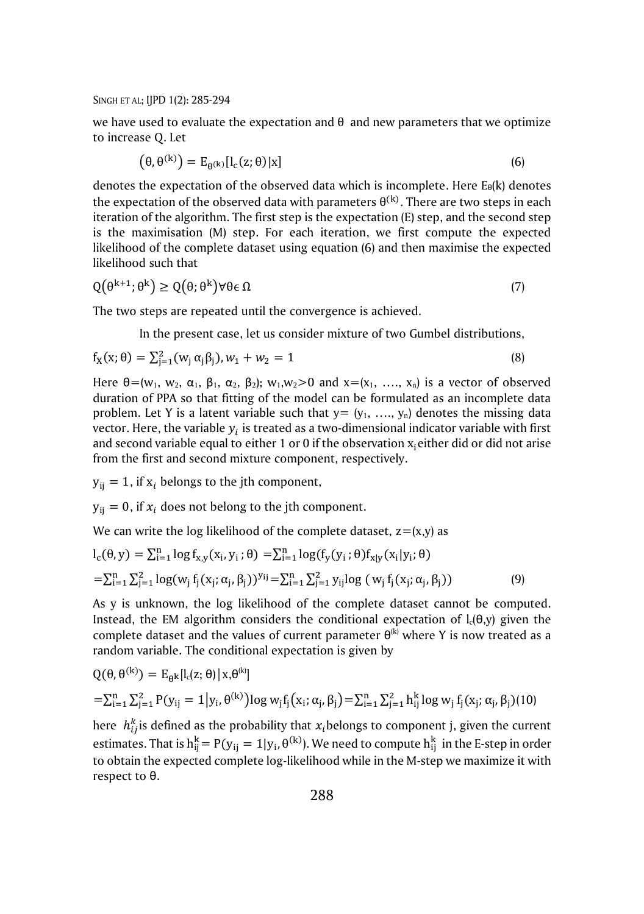we have used to evaluate the expectation and  $\theta$  and new parameters that we optimize to increase Q. Let

$$
(\theta, \theta^{(k)}) = E_{\theta^{(k)}}[l_c(z; \theta)|x]
$$
\n(6)

denotes the expectation of the observed data which is incomplete. Here  $E_{\theta}(k)$  denotes the expectation of the observed data with parameters  $\theta^{(k)}$ . There are two steps in each iteration of the algorithm. The first step is the expectation (E) step, and the second step is the maximisation (M) step. For each iteration, we first compute the expected likelihood of the complete dataset using equation (6) and then maximise the expected likelihood such that

$$
Q(\theta^{k+1}; \theta^k) \ge Q(\theta; \theta^k) \forall \theta \in \Omega \tag{7}
$$

The two steps are repeated until the convergence is achieved.

In the present case, let us consider mixture of two Gumbel distributions,

$$
f_X(x; \theta) = \sum_{j=1}^{2} (w_j \alpha_j \beta_j), w_1 + w_2 = 1
$$
\n(8)

Here  $\theta = (w_1, w_2, \alpha_1, \beta_1, \alpha_2, \beta_2); w_1, w_2 > 0$  and  $x = (x_1, \ldots, x_n)$  is a vector of observed duration of PPA so that fitting of the model can be formulated as an incomplete data problem. Let Y is a latent variable such that  $y = (y_1, \ldots, y_n)$  denotes the missing data vector. Here, the variable  $y_i$  is treated as a two-dimensional indicator variable with first and second variable equal to either 1 or 0 if the observation  $x_i$  either did or did not arise from the first and second mixture component, respectively.

 $y_{ii} = 1$ , if  $x_i$  belongs to the jth component,

 $y_{ii} = 0$ , if  $x_i$  does not belong to the jth component.

We can write the log likelihood of the complete dataset,  $z = (x,y)$  as

$$
l_{c}(\theta, y) = \sum_{i=1}^{n} \log f_{x,y}(x_{i}, y_{i}; \theta) = \sum_{i=1}^{n} \log(f_{y}(y_{i}; \theta) f_{x|y}(x_{i}|y_{i}; \theta))
$$
  
= 
$$
\sum_{i=1}^{n} \sum_{j=1}^{2} \log(w_{j} f_{j}(x_{j}; \alpha_{j}, \beta_{j}))^{y_{ij}} = \sum_{i=1}^{n} \sum_{j=1}^{2} y_{ij} \log(w_{j} f_{j}(x_{j}; \alpha_{j}, \beta_{j}))
$$
 (9)

As y is unknown, the log likelihood of the complete dataset cannot be computed. Instead, the EM algorithm considers the conditional expectation of  $I_c(\theta, y)$  given the complete dataset and the values of current parameter  $\theta^{(k)}$  where Y is now treated as a random variable. The conditional expectation is given by

$$
Q(\theta, \theta^{(k)}) = E_{\theta^{k}}[l_{c}(z; \theta) | x, \theta^{(k)}]
$$
  
=  $\sum_{i=1}^{n} \sum_{j=1}^{2} P(y_{ij} = 1 | y_{i}, \theta^{(k)}) \log w_{j} f_{j}(x_{i}; \alpha_{j}, \beta_{j}) = \sum_{i=1}^{n} \sum_{j=1}^{2} h_{ij}^{k} \log w_{j} f_{j}(x_{j}; \alpha_{j}, \beta_{j})$ (10)

here  $h_{ij}^k$  is defined as the probability that  $x_i$  belongs to component j, given the current estimates. That is  $h_{ij}^k = P(y_{ij} = 1|y_i, \theta^{(k)})$ . We need to compute  $h_{ij}^k$  in the E-step in order to obtain the expected complete log-likelihood while in the M-step we maximize it with respect to θ.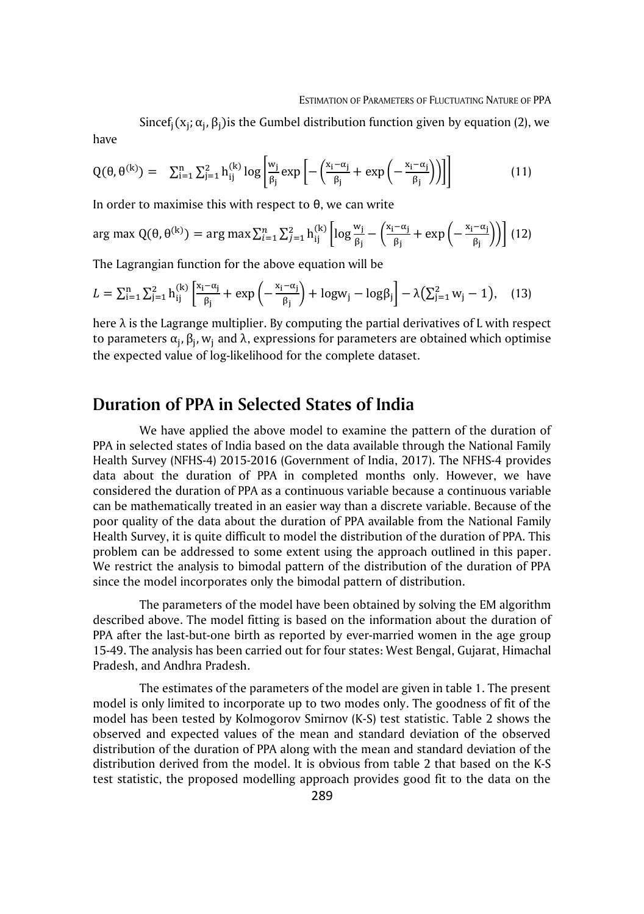Since $f_j(x_j; \alpha_j, \beta_j)$ is the Gumbel distribution function given by equation (2), we have

$$
Q(\theta, \theta^{(k)}) = \sum_{i=1}^{n} \sum_{j=1}^{2} h_{ij}^{(k)} \log \left[ \frac{w_j}{\beta_j} \exp \left[ - \left( \frac{x_i - \alpha_j}{\beta_j} + \exp \left( - \frac{x_i - \alpha_j}{\beta_j} \right) \right) \right] \right] \tag{11}
$$

In order to maximise this with respect to θ, we can write

$$
\arg \max Q(\theta, \theta^{(k)}) = \arg \max \sum_{i=1}^{n} \sum_{j=1}^{2} h_{ij}^{(k)} \left[ \log \frac{w_j}{\beta_j} - \left( \frac{x_i - \alpha_j}{\beta_j} + \exp \left( -\frac{x_i - \alpha_j}{\beta_j} \right) \right) \right] (12)
$$

The Lagrangian function for the above equation will be

$$
L = \sum_{i=1}^{n} \sum_{j=1}^{2} h_{ij}^{(k)} \left[ \frac{x_i - \alpha_j}{\beta_j} + \exp\left(-\frac{x_i - \alpha_j}{\beta_j}\right) + \log w_j - \log \beta_j \right] - \lambda \left(\sum_{j=1}^{2} w_j - 1\right), \quad (13)
$$

here  $\lambda$  is the Lagrange multiplier. By computing the partial derivatives of L with respect to parameters  $\alpha_{\mathfrak j}$ ,  $\beta_{\mathfrak j}$ ,  $w_{\mathfrak j}$  and λ, expressions for parameters are obtained which optimise the expected value of log-likelihood for the complete dataset.

## **Duration of PPA in Selected States of India**

We have applied the above model to examine the pattern of the duration of PPA in selected states of India based on the data available through the National Family Health Survey (NFHS-4) 2015-2016 (Government of India, 2017). The NFHS-4 provides data about the duration of PPA in completed months only. However, we have considered the duration of PPA as a continuous variable because a continuous variable can be mathematically treated in an easier way than a discrete variable. Because of the poor quality of the data about the duration of PPA available from the National Family Health Survey, it is quite difficult to model the distribution of the duration of PPA. This problem can be addressed to some extent using the approach outlined in this paper. We restrict the analysis to bimodal pattern of the distribution of the duration of PPA since the model incorporates only the bimodal pattern of distribution.

The parameters of the model have been obtained by solving the EM algorithm described above. The model fitting is based on the information about the duration of PPA after the last-but-one birth as reported by ever-married women in the age group 15-49. The analysis has been carried out for four states: West Bengal, Gujarat, Himachal Pradesh, and Andhra Pradesh.

The estimates of the parameters of the model are given in table 1. The present model is only limited to incorporate up to two modes only. The goodness of fit of the model has been tested by Kolmogorov Smirnov (K-S) test statistic. Table 2 shows the observed and expected values of the mean and standard deviation of the observed distribution of the duration of PPA along with the mean and standard deviation of the distribution derived from the model. It is obvious from table 2 that based on the K-S test statistic, the proposed modelling approach provides good fit to the data on the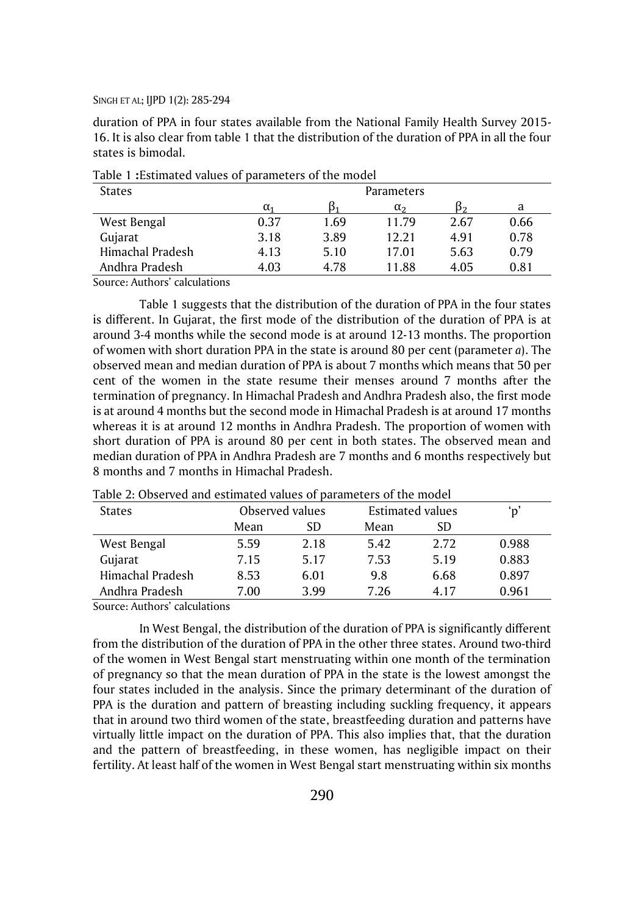duration of PPA in four states available from the National Family Health Survey 2015- 16. It is also clear from table 1 that the distribution of the duration of PPA in all the four states is bimodal.

| <b>States</b>    | <b>Parameters</b> |      |              |      |      |  |
|------------------|-------------------|------|--------------|------|------|--|
|                  | $\alpha_{1}$      |      | $\alpha_{2}$ | D٠   | a    |  |
| West Bengal      | 0.37              | 1.69 | 11.79        | 2.67 | 0.66 |  |
| Gujarat          | 3.18              | 3.89 | 12.21        | 4.91 | 0.78 |  |
| Himachal Pradesh | 4.13              | 5.10 | 17.01        | 5.63 | 0.79 |  |
| Andhra Pradesh   | 4.03              | 4.78 | 11.88        | 4.05 | 0.81 |  |

Table 1 **:**Estimated values of parameters of the model

Source: Authors' calculations

Table 1 suggests that the distribution of the duration of PPA in the four states is different. In Gujarat, the first mode of the distribution of the duration of PPA is at around 3-4 months while the second mode is at around 12-13 months. The proportion of women with short duration PPA in the state is around 80 per cent (parameter *a*). The observed mean and median duration of PPA is about 7 months which means that 50 per cent of the women in the state resume their menses around 7 months after the termination of pregnancy. In Himachal Pradesh and Andhra Pradesh also, the first mode is at around 4 months but the second mode in Himachal Pradesh is at around 17 months whereas it is at around 12 months in Andhra Pradesh. The proportion of women with short duration of PPA is around 80 per cent in both states. The observed mean and median duration of PPA in Andhra Pradesh are 7 months and 6 months respectively but 8 months and 7 months in Himachal Pradesh.

| <b>States</b>    |      | Observed values |      | Estimated values |       |
|------------------|------|-----------------|------|------------------|-------|
|                  | Mean | SD              | Mean | SD.              |       |
| West Bengal      | 5.59 | 2.18            | 5.42 | 2.72             | 0.988 |
| Gujarat          | 7.15 | 5.17            | 7.53 | 5.19             | 0.883 |
| Himachal Pradesh | 8.53 | 6.01            | 9.8  | 6.68             | 0.897 |
| Andhra Pradesh   | 7.00 | 3.99            | 7.26 | 4.17             | 0.961 |

Table 2: Observed and estimated values of parameters of the model

Source: Authors' calculations

In West Bengal, the distribution of the duration of PPA is significantly different from the distribution of the duration of PPA in the other three states. Around two-third of the women in West Bengal start menstruating within one month of the termination of pregnancy so that the mean duration of PPA in the state is the lowest amongst the four states included in the analysis. Since the primary determinant of the duration of PPA is the duration and pattern of breasting including suckling frequency, it appears that in around two third women of the state, breastfeeding duration and patterns have virtually little impact on the duration of PPA. This also implies that, that the duration and the pattern of breastfeeding, in these women, has negligible impact on their fertility. At least half of the women in West Bengal start menstruating within six months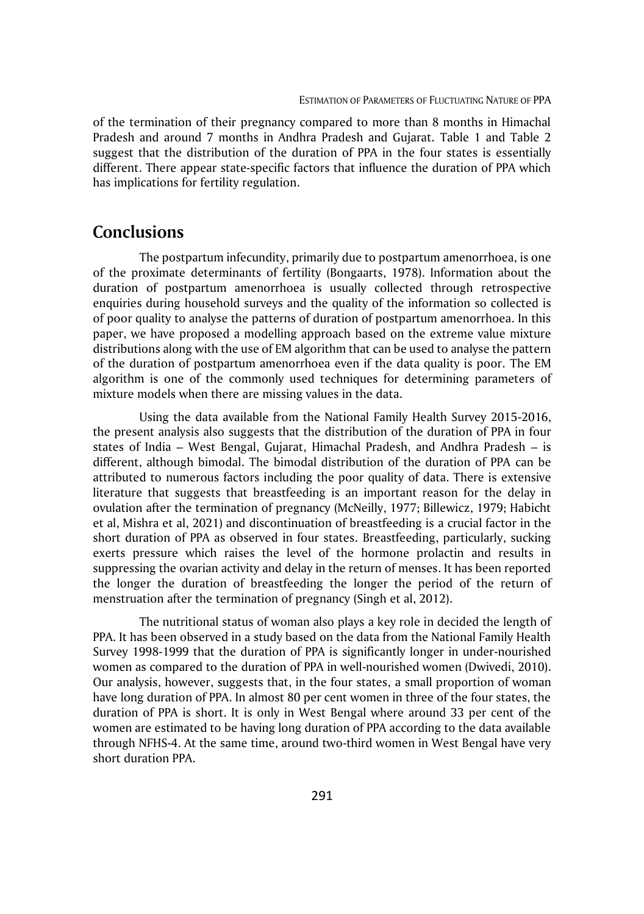of the termination of their pregnancy compared to more than 8 months in Himachal Pradesh and around 7 months in Andhra Pradesh and Gujarat. Table 1 and Table 2 suggest that the distribution of the duration of PPA in the four states is essentially different. There appear state-specific factors that influence the duration of PPA which has implications for fertility regulation.

## **Conclusions**

The postpartum infecundity, primarily due to postpartum amenorrhoea, is one of the proximate determinants of fertility (Bongaarts, 1978). Information about the duration of postpartum amenorrhoea is usually collected through retrospective enquiries during household surveys and the quality of the information so collected is of poor quality to analyse the patterns of duration of postpartum amenorrhoea. In this paper, we have proposed a modelling approach based on the extreme value mixture distributions along with the use of EM algorithm that can be used to analyse the pattern of the duration of postpartum amenorrhoea even if the data quality is poor. The EM algorithm is one of the commonly used techniques for determining parameters of mixture models when there are missing values in the data.

Using the data available from the National Family Health Survey 2015-2016, the present analysis also suggests that the distribution of the duration of PPA in four states of India – West Bengal, Gujarat, Himachal Pradesh, and Andhra Pradesh – is different, although bimodal. The bimodal distribution of the duration of PPA can be attributed to numerous factors including the poor quality of data. There is extensive literature that suggests that breastfeeding is an important reason for the delay in ovulation after the termination of pregnancy (McNeilly, 1977; Billewicz, 1979; Habicht et al, Mishra et al, 2021) and discontinuation of breastfeeding is a crucial factor in the short duration of PPA as observed in four states. Breastfeeding, particularly, sucking exerts pressure which raises the level of the hormone prolactin and results in suppressing the ovarian activity and delay in the return of menses. It has been reported the longer the duration of breastfeeding the longer the period of the return of menstruation after the termination of pregnancy (Singh et al, 2012).

The nutritional status of woman also plays a key role in decided the length of PPA. It has been observed in a study based on the data from the National Family Health Survey 1998-1999 that the duration of PPA is significantly longer in under-nourished women as compared to the duration of PPA in well-nourished women (Dwivedi, 2010). Our analysis, however, suggests that, in the four states, a small proportion of woman have long duration of PPA. In almost 80 per cent women in three of the four states, the duration of PPA is short. It is only in West Bengal where around 33 per cent of the women are estimated to be having long duration of PPA according to the data available through NFHS-4. At the same time, around two-third women in West Bengal have very short duration PPA.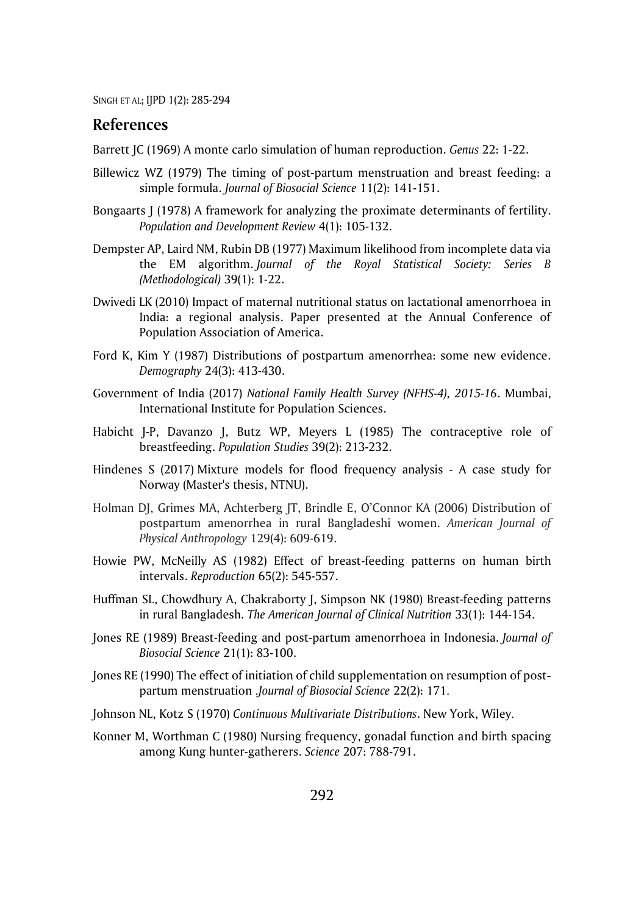#### **References**

Barrett JC (1969) A monte carlo simulation of human reproduction. *Genus* 22: 1-22.

- Billewicz WZ (1979) The timing of post-partum menstruation and breast feeding: a simple formula. *Journal of Biosocial Science* 11(2): 141-151.
- Bongaarts J (1978) A framework for analyzing the proximate determinants of fertility. *Population and Development Review* 4(1): 105-132.
- Dempster AP, Laird NM, Rubin DB (1977) Maximum likelihood from incomplete data via the EM algorithm. *Journal of the Royal Statistical Society: Series B (Methodological)* 39(1): 1-22.
- Dwivedi LK (2010) Impact of maternal nutritional status on lactational amenorrhoea in India: a regional analysis. Paper presented at the Annual Conference of Population Association of America.
- Ford K, Kim Y (1987) Distributions of postpartum amenorrhea: some new evidence. *Demography* 24(3): 413-430.
- Government of India (2017) *National Family Health Survey (NFHS-4), 2015-16*. Mumbai, International Institute for Population Sciences.
- Habicht J-P, Davanzo J, Butz WP, Meyers L (1985) The contraceptive role of breastfeeding. *Population Studies* 39(2): 213-232.
- Hindenes S (2017) Mixture models for flood frequency analysis A case study for Norway (Master's thesis, NTNU).
- Holman DJ, Grimes MA, Achterberg JT, Brindle E, O'Connor KA (2006) Distribution of postpartum amenorrhea in rural Bangladeshi women. *American Journal of Physical Anthropology* 129(4): 609-619.
- Howie PW, McNeilly AS (1982) Effect of breast-feeding patterns on human birth intervals. *Reproduction* 65(2): 545-557.
- Huffman SL, Chowdhury A, Chakraborty J, Simpson NK (1980) Breast-feeding patterns in rural Bangladesh. *The American Journal of Clinical Nutrition* 33(1): 144-154.
- Jones RE (1989) Breast-feeding and post-partum amenorrhoea in Indonesia. *Journal of Biosocial Science* 21(1): 83-100.
- Jones RE (1990) The effect of initiation of child supplementation on resumption of postpartum menstruation .*Journal of Biosocial Science* 22(2): 171 .
- Johnson NL, Kotz S (1970) *Continuous Multivariate Distributions*. New York, Wiley.
- Konner M, Worthman C (1980) Nursing frequency, gonadal function and birth spacing among Kung hunter-gatherers. *Science* 207: 788-791.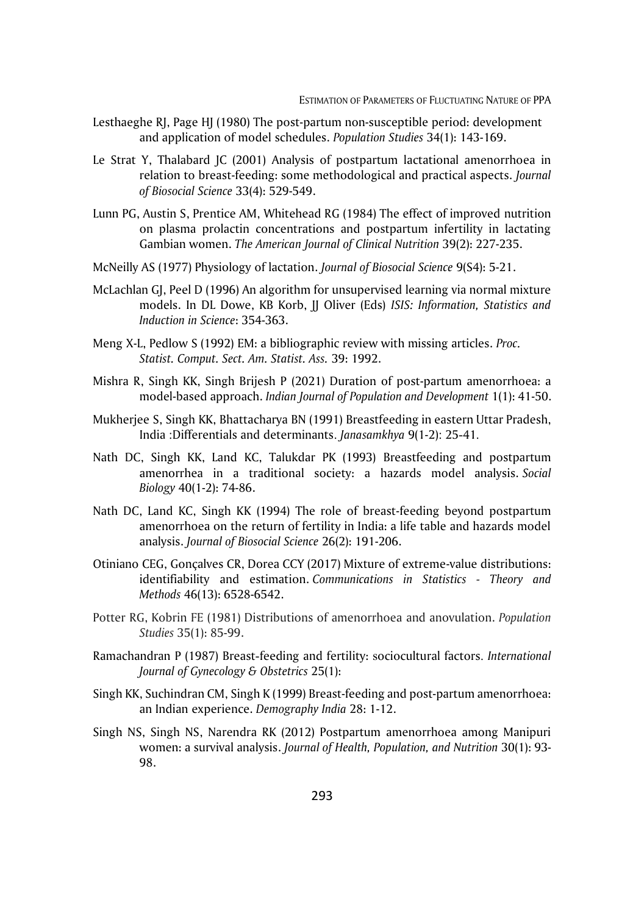- Lesthaeghe RJ, Page HJ (1980) The post-partum non-susceptible period: development and application of model schedules. *Population Studies* 34(1): 143-169.
- Le Strat Y, Thalabard JC (2001) Analysis of postpartum lactational amenorrhoea in relation to breast-feeding: some methodological and practical aspects. *Journal of Biosocial Science* 33(4): 529-549.
- Lunn PG, Austin S, Prentice AM, Whitehead RG (1984) The effect of improved nutrition on plasma prolactin concentrations and postpartum infertility in lactating Gambian women. *The American Journal of Clinical Nutrition* 39(2): 227-235.
- McNeilly AS (1977) Physiology of lactation. *Journal of Biosocial Science* 9(S4): 5-21.
- McLachlan GJ, Peel D (1996) An algorithm for unsupervised learning via normal mixture models. In DL Dowe, KB Korb, JJ Oliver (Eds) *ISIS: Information, Statistics and Induction in Science*: 354-363.
- Meng X-L, Pedlow S (1992) EM: a bibliographic review with missing articles. *Proc. Statist. Comput. Sect. Am. Statist. Ass.* 39: 1992.
- Mishra R, Singh KK, Singh Brijesh P (2021) Duration of post-partum amenorrhoea: a model-based approach. *Indian Journal of Population and Development* 1(1): 41-50.
- Mukherjee S, Singh KK, Bhattacharya BN (1991) Breastfeeding in eastern Uttar Pradesh, India :Differentials and determinants . *Janasamkhya* 9(1-2): 25-41 .
- Nath DC, Singh KK, Land KC, Talukdar PK (1993) Breastfeeding and postpartum amenorrhea in a traditional society: a hazards model analysis. *Social Biology* 40(1-2): 74-86.
- Nath DC, Land KC, Singh KK (1994) The role of breast-feeding beyond postpartum amenorrhoea on the return of fertility in India: a life table and hazards model analysis. *Journal of Biosocial Science* 26(2): 191-206.
- Otiniano CEG, Gonçalves CR, Dorea CCY (2017) Mixture of extreme-value distributions: identifiability and estimation. *Communications in Statistics - Theory and Methods* 46(13): 6528-6542.
- Potter RG, Kobrin FE (1981) Distributions of amenorrhoea and anovulation. *Population Studies* 35(1): 85-99.
- Ramachandran P (1987) Breast-feeding and fertility: sociocultural factors. *International Journal of Gynecology & Obstetrics* 25(1):
- Singh KK, Suchindran CM, Singh K (1999) Breast-feeding and post-partum amenorrhoea: an Indian experience. *Demography India* 28: 1-12.
- Singh NS, Singh NS, Narendra RK (2012) Postpartum amenorrhoea among Manipuri women: a survival analysis. *Journal of Health, Population, and Nutrition* 30(1): 93- 98.